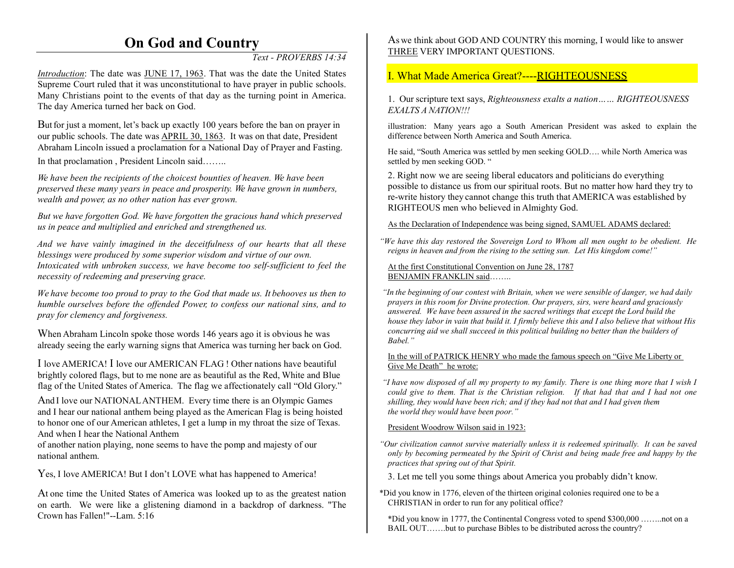# **On God and Country**

*Text - PROVERBS 14:34* 

*Introduction*: The date was JUNE 17, 1963. That was the date the United States Supreme Court ruled that it was unconstitutional to have prayer in public schools. Many Christians point to the events of that day as the turning point in America. The day America turned her back on God.

But for just a moment, let's back up exactly 100 years before the ban on prayer in our public schools. The date was **APRIL 30, 1863**. It was on that date, President Abraham Lincoln issued a proclamation for a National Day of Prayer and Fasting. In that proclamation , President Lincoln said……..

*We have been the recipients of the choicest bounties of heaven. We have been preserved these many years in peace and prosperity. We have grown in numbers, wealth and power, as no other nation has ever grown.*

*But we have forgotten God. We have forgotten the gracious hand which preserved us in peace and multiplied and enriched and strengthened us.*

*And we have vainly imagined in the deceitfulness of our hearts that all these blessings were produced by some superior wisdom and virtue of our own. Intoxicated with unbroken success, we have become too self-sufficient to feel the necessity of redeeming and preserving grace.* 

*We have become too proud to pray to the God that made us. It behooves us then to humble ourselves before the offended Power, to confess our national sins, and to pray for clemency and forgiveness.*

When Abraham Lincoln spoke those words 146 years ago it is obvious he was already seeing the early warning signs that America was turning her back on God.

I love AMERICA! <sup>I</sup> love our AMERICAN FLAG ! Other nations have beautiful brightly colored flags, but to me none are as beautiful as the Red, White and Blue flag of the United States of America. The flag we affectionately call "Old Glory."

And I love our NATIONAL ANTHEM. Every time there is an Olympic Games and I hear our national anthem being played as the American Flag is being hoisted to honor one of our American athletes, I get a lump in my throat the size of Texas. And when I hear the National Anthem

of another nation playing, none seems to have the pomp and majesty of our national anthem.

Yes, I love AMERICA! But I don't LOVE what has happened to America!

At one time the United States of America was looked up to as the greatest nation on earth. We were like a glistening diamond in a backdrop of darkness. "The Crown has Fallen!"--Lam. 5:16

As we think about GOD AND COUNTRY this morning, I would like to answer THREE VERY IMPORTANT QUESTIONS.

# I. What Made America Great?----RIGHTEOUSNESS

1. Our scripture text says, *Righteousness exalts a nation…… RIGHTEOUSNESS EXALTS A NATION!!!*

illustration: Many years ago a South American President was asked to explain the difference between North America and South America.

He said, "South America was settled by men seeking GOLD…. while North America was settled by men seeking GOD. "

2. Right now we are seeing liberal educators and politicians do everything possible to distance us from our spiritual roots. But no matter how hard they try to re-write history they cannot change this truth that AMERICA was established by RIGHTEOUS men who believed in Almighty God.

As the Declaration of Independence was being signed, SAMUEL ADAMS declared:

*"We have this day restored the Sovereign Lord to Whom all men ought to be obedient. He reigns in heaven and from the rising to the setting sun. Let His kingdom come!"*

At the first Constitutional Convention on June 28, 1787BENJAMIN FRANKLIN said……..

*"In the beginning of our contest with Britain, when we were sensible of danger, we had daily prayers in this room for Divine protection. Our prayers, sirs, were heard and graciously answered. We have been assured in the sacred writings that except the Lord build the house they labor in vain that build it. I firmly believe this and I also believe that without His concurring aid we shall succeed in this political building no better than the builders of Babel."*

#### In the will of PATRICK HENRY who made the famous speech on "Give Me Liberty or Give Me Death" he wrote:

*"I have now disposed of all my property to my family. There is one thing more that I wish I could give to them. That is the Christian religion. If that had that and I had not one shilling, they would have been rich; and if they had not that and I had given themthe world they would have been poor."*

#### President Woodrow Wilson said in 1923:

- *"Our civilization cannot survive materially unless it is redeemed spiritually. It can be saved only by becoming permeated by the Spirit of Christ and being made free and happy by the practices that spring out of that Spirit.*
- 3. Let me tell you some things about America you probably didn't know.
- \*Did you know in 1776, eleven of the thirteen original colonies required one to be a CHRISTIAN in order to run for any political office?

\*Did you know in 1777, the Continental Congress voted to spend \$300,000 ……..not on a BAIL OUT…….but to purchase Bibles to be distributed across the country?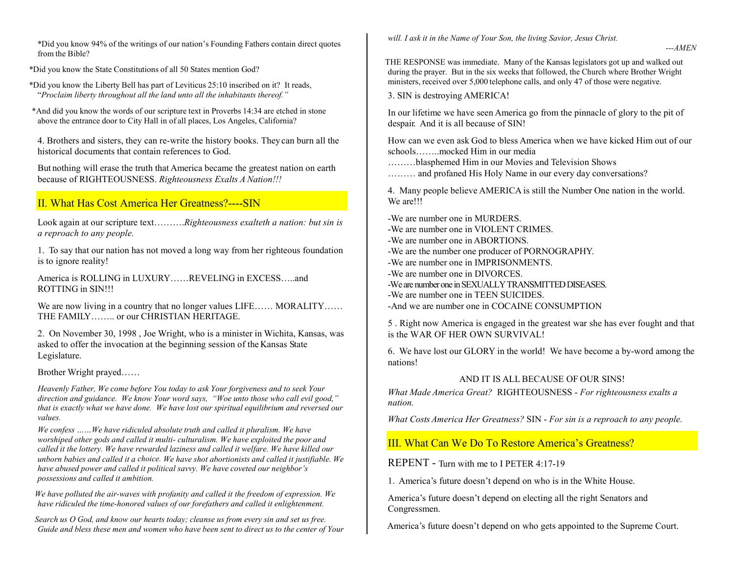\*Did you know 94% of the writings of our nation's Founding Fathers contain direct quotes from the Bible?

\*Did you know the State Constitutions of all 50 States mention God?

\*Did you know the Liberty Bell has part of Leviticus 25:10 inscribed on it? It reads, "*Proclaim liberty throughout all the land unto all the inhabitants thereof."*

\*And did you know the words of our scripture text in Proverbs 14:34 are etched in stone above the entrance door to City Hall in of all places, Los Angeles, California?

4. Brothers and sisters, they can re-write the history books. They can burn all the historical documents that contain references to God.

But nothing will erase the truth that America became the greatest nation on earth because of RIGHTEOUSNESS. *Righteousness Exalts A Nation!!!*

# II. What Has Cost America Her Greatness?----SIN

Look again at our scripture text……….*Righteousness exalteth a nation: but sin is a reproach to any people.* 

1. To say that our nation has not moved a long way from her righteous foundation is to ignore reality!

America is ROLLING in LUXURY REVELING in EXCESS and ROTTING in SIN!!!

We are now living in a country that no longer values LIFE...... MORALITY...... THE FAMILY…….. or our CHRISTIAN HERITAGE.

2. On November 30, 1998 , Joe Wright, who is a minister in Wichita, Kansas, was asked to offer the invocation at the beginning session of the Kansas State Legislature.

Brother Wright prayed……

*Heavenly Father, We come before You today to ask Your forgiveness and to seek Your direction and guidance. We know Your word says, "Woe unto those who call evil good," that is exactly what we have done. We have lost our spiritual equilibrium and reversed our values.*

*We confess ……We have ridiculed absolute truth and called it pluralism. We have worshiped other gods and called it multi- culturalism. We have exploited the poor and called it the lottery. We have rewarded laziness and called it welfare. We have killed our unborn babies and called it a choice. We have shot abortionists and called it justifiable. We have abused power and called it political savvy. We have coveted our neighbor's possessions and called it ambition.*

*We have polluted the air-waves with profanity and called it the freedom of expression. We have ridiculed the time-honored values of our forefathers and called it enlightenment.*

*Search us O God, and know our hearts today; cleanse us from every sin and set us free. Guide and bless these men and women who have been sent to direct us to the center of Your*  *will. I ask it in the Name of Your Son, the living Savior, Jesus Christ.*

THE RESPONSE was immediate. Many of the Kansas legislators got up and walked out during the prayer. But in the six weeks that followed, the Church where Brother Wright ministers, received over 5,000 telephone calls, and only 47 of those were negative.

*---AMEN*

3. SIN is destroying AMERICA!

In our lifetime we have seen America go from the pinnacle of glory to the pit of despair. And it is all because of SIN!

How can we even ask God to bless America when we have kicked Him out of our schools……..mocked Him in our media

………blasphemed Him in our Movies and Television Shows

……… and profaned His Holy Name in our every day conversations?

4. Many people believe AMERICA is still the Number One nation in the world. We are!!!

-We are number one in MURDERS.

-We are number one in VIOLENT CRIMES.

-We are number one in ABORTIONS.

-We are the number one producer of PORNOGRAPHY.

-We are number one in IMPRISONMENTS.

-We are number one in DIVORCES.

-We are number one in SEXUALLY TRANSMITTED DISEASES.

-We are number one in TEEN SUICIDES.

-And we are number one in COCAINE CONSUMPTION

<sup>5</sup> . Right now America is engaged in the greatest war she has ever fought and that is the WAR OF HER OWN SURVIVAL!

6. We have lost our GLORY in the world! We have become a by-word among the nations!

#### AND IT IS ALL BECAUSE OF OUR SINS!

*What Made America Great?* RIGHTEOUSNESS - *For righteousness exalts a nation.*

*What Costs America Her Greatness?* SIN - *For sin is a reproach to any people.* 

III. What Can We Do To Restore America's Greatness?

REPENT - Turn with me to I PETER 4:17-19

1. America's future doesn't depend on who is in the White House.

America's future doesn't depend on electing all the right Senators and Congressmen.

America's future doesn't depend on who gets appointed to the Supreme Court.